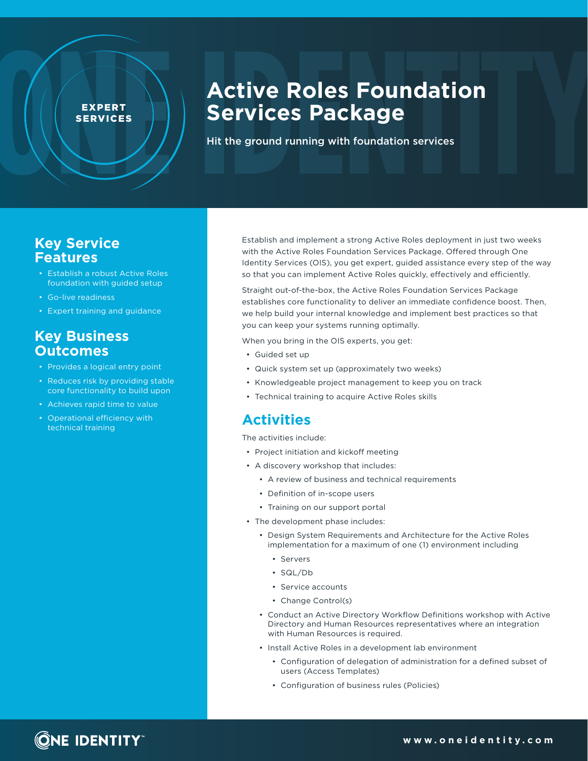# **Active Roles Foundation Services Package**

Hit the ground running with foundation services

### **Key Service Features**

• Establish a robust Active Roles foundation with guided setup

EXPERT SERVICES

- Go-live readiness
- Expert training and guidance

#### **Key Business Outcomes**

- Provides a logical entry point
- Reduces risk by providing stable core functionality to build upon
- Achieves rapid time to value
- Operational efficiency with technical training

Establish and implement a strong Active Roles deployment in just two weeks with the Active Roles Foundation Services Package. Offered through One Identity Services (OIS), you get expert, guided assistance every step of the way so that you can implement Active Roles quickly, effectively and efficiently.

Straight out-of-the-box, the Active Roles Foundation Services Package establishes core functionality to deliver an immediate confidence boost. Then, we help build your internal knowledge and implement best practices so that you can keep your systems running optimally.

When you bring in the OIS experts, you get:

- Guided set up
- Quick system set up (approximately two weeks)
- Knowledgeable project management to keep you on track
- Technical training to acquire Active Roles skills

#### **Activities**

The activities include:

- Project initiation and kickoff meeting
- A discovery workshop that includes:
	- A review of business and technical requirements
	- Definition of in-scope users
	- Training on our support portal
- The development phase includes:
	- Design System Requirements and Architecture for the Active Roles implementation for a maximum of one (1) environment including
		- Servers
		- SQL/Db
		- Service accounts
		- Change Control(s)
	- Conduct an Active Directory Workflow Definitions workshop with Active Directory and Human Resources representatives where an integration with Human Resources is required.
	- Install Active Roles in a development lab environment
		- Configuration of delegation of administration for a defined subset of users (Access Templates)
		- Configuration of business rules (Policies)